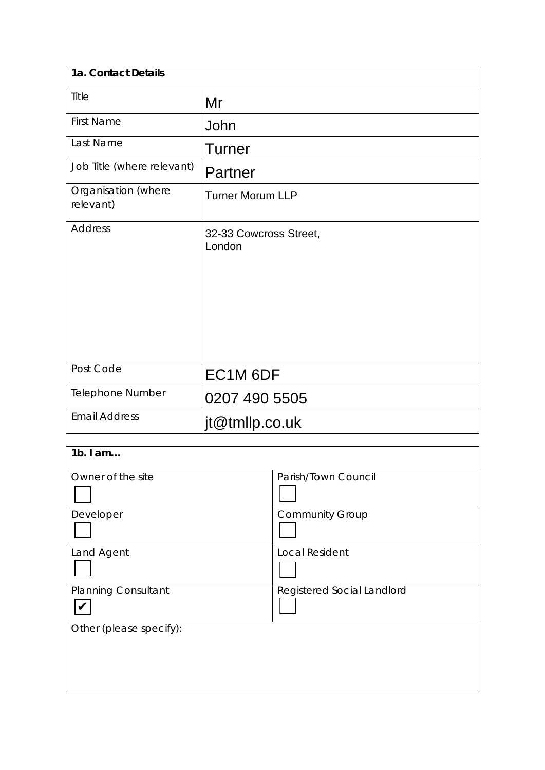| 1a. Contact Details              |                                  |  |
|----------------------------------|----------------------------------|--|
| Title                            | Mr                               |  |
| <b>First Name</b>                | John                             |  |
| Last Name                        | <b>Turner</b>                    |  |
| Job Title (where relevant)       | Partner                          |  |
| Organisation (where<br>relevant) | <b>Turner Morum LLP</b>          |  |
| <b>Address</b>                   | 32-33 Cowcross Street,<br>London |  |
| Post Code                        | EC1M 6DF                         |  |
| Telephone Number                 | 0207 490 5505                    |  |
| <b>Email Address</b>             | jt@tmllp.co.uk                   |  |

| $1b.$ I am                 |                            |
|----------------------------|----------------------------|
| Owner of the site          | Parish/Town Council        |
|                            |                            |
| Developer                  | <b>Community Group</b>     |
|                            |                            |
| Land Agent                 | <b>Local Resident</b>      |
|                            |                            |
| <b>Planning Consultant</b> | Registered Social Landlord |
|                            |                            |
| Other (please specify):    |                            |
|                            |                            |
|                            |                            |
|                            |                            |
|                            |                            |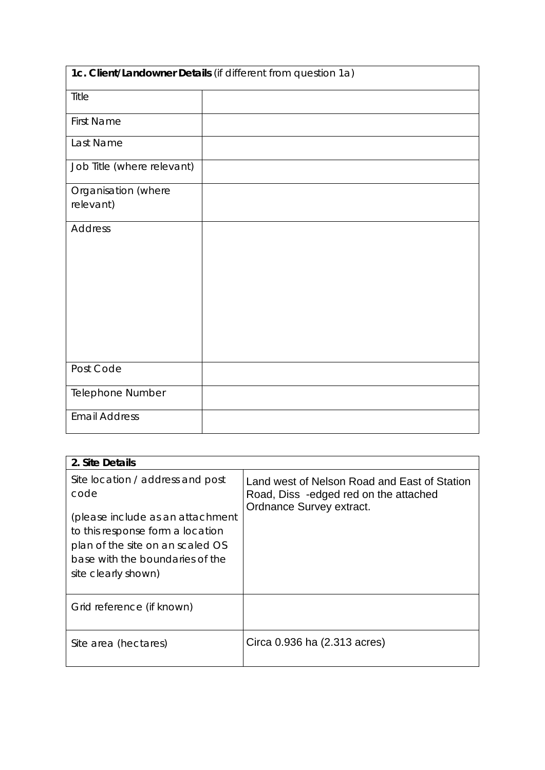| 1c. Client/Landowner Details (if different from question 1a) |  |  |
|--------------------------------------------------------------|--|--|
| Title                                                        |  |  |
| <b>First Name</b>                                            |  |  |
| Last Name                                                    |  |  |
| Job Title (where relevant)                                   |  |  |
| Organisation (where                                          |  |  |
| relevant)                                                    |  |  |
| <b>Address</b>                                               |  |  |
|                                                              |  |  |
|                                                              |  |  |
|                                                              |  |  |
|                                                              |  |  |
|                                                              |  |  |
| Post Code                                                    |  |  |
| Telephone Number                                             |  |  |
| <b>Email Address</b>                                         |  |  |

| 2. Site Details                                                                                                                                                                                                |                                                                                                                   |
|----------------------------------------------------------------------------------------------------------------------------------------------------------------------------------------------------------------|-------------------------------------------------------------------------------------------------------------------|
| Site location / address and post<br>code<br>(please include as an attachment<br>to this response form a location<br>plan of the site on an scaled OS<br>base with the boundaries of the<br>site clearly shown) | Land west of Nelson Road and East of Station<br>Road, Diss -edged red on the attached<br>Ordnance Survey extract. |
| Grid reference (if known)                                                                                                                                                                                      |                                                                                                                   |
| Site area (hectares)                                                                                                                                                                                           | Circa 0.936 ha (2.313 acres)                                                                                      |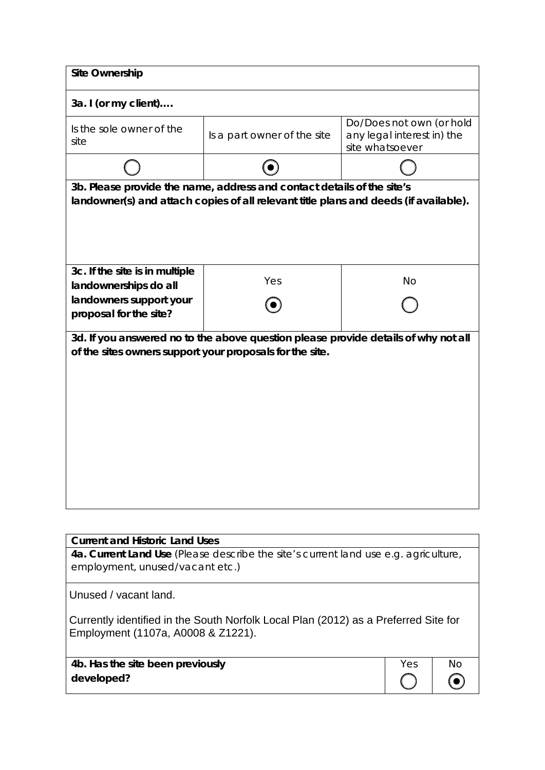| <b>Site Ownership</b>                                                                                                                                          |                                                                                     |                 |                                                        |    |
|----------------------------------------------------------------------------------------------------------------------------------------------------------------|-------------------------------------------------------------------------------------|-----------------|--------------------------------------------------------|----|
| 3a. I (or my client)                                                                                                                                           |                                                                                     |                 |                                                        |    |
| Is the sole owner of the<br>site                                                                                                                               | Is a part owner of the site                                                         | site whatsoever | Do/Does not own (or hold<br>any legal interest in) the |    |
|                                                                                                                                                                |                                                                                     |                 |                                                        |    |
| 3b. Please provide the name, address and contact details of the site's<br>landowner(s) and attach copies of all relevant title plans and deeds (if available). |                                                                                     |                 |                                                        |    |
| 3c. If the site is in multiple<br>landownerships do all                                                                                                        | Yes                                                                                 |                 | <b>No</b>                                              |    |
| landowners support your<br>proposal for the site?                                                                                                              |                                                                                     |                 |                                                        |    |
| of the sites owners support your proposals for the site.                                                                                                       | 3d. If you answered no to the above question please provide details of why not all  |                 |                                                        |    |
| <b>Current and Historic Land Uses</b>                                                                                                                          |                                                                                     |                 |                                                        |    |
| employment, unused/vacant etc.)                                                                                                                                | 4a. Current Land Use (Please describe the site's current land use e.g. agriculture, |                 |                                                        |    |
| Unused / vacant land.                                                                                                                                          |                                                                                     |                 |                                                        |    |
| Employment (1107a, A0008 & Z1221).                                                                                                                             | Currently identified in the South Norfolk Local Plan (2012) as a Preferred Site for |                 |                                                        |    |
| 4b. Has the site been previously<br>developed?                                                                                                                 |                                                                                     |                 | Yes                                                    | No |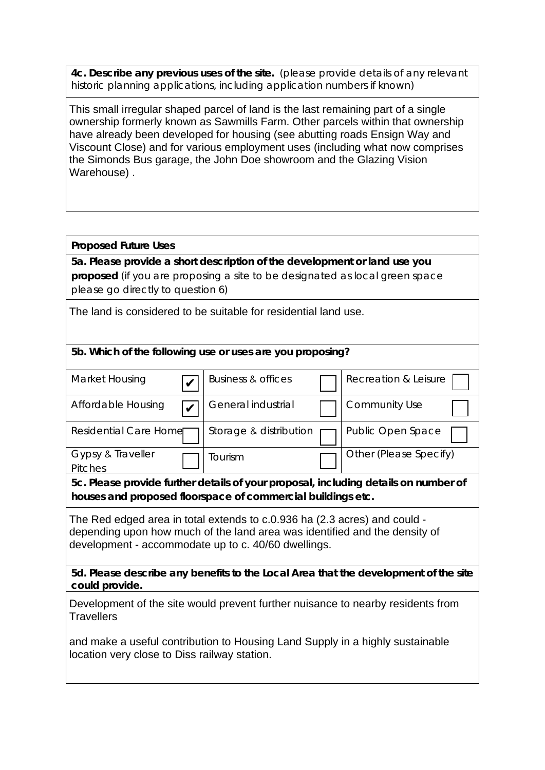**4c. Describe any previous uses of the site.** (please provide details of any relevant historic planning applications, including application numbers if known)

This small irregular shaped parcel of land is the last remaining part of a single ownership formerly known as Sawmills Farm. Other parcels within that ownership have already been developed for housing (see abutting roads Ensign Way and Viscount Close) and for various employment uses (including what now comprises the Simonds Bus garage, the John Doe showroom and the Glazing Vision Warehouse) .

### **Proposed Future Uses**

**5a. Please provide a short description of the development or land use you proposed** (if you are proposing a site to be designated as local green space please go directly to question 6)

The land is considered to be suitable for residential land use.

#### **5b. Which of the following use or uses are you proposing?**

| Market Housing                | <b>Business &amp; offices</b> | Recreation & Leisure     |
|-------------------------------|-------------------------------|--------------------------|
| Affordable Housing            | General industrial            | <b>Community Use</b>     |
| <b>Residential Care Homer</b> | Storage & distribution        | <b>Public Open Space</b> |
| Gypsy & Traveller<br>Pitches  | Tourism                       | Other (Please Specify)   |

**5c. Please provide further details of your proposal, including details on number of houses and proposed floorspace of commercial buildings etc.** 

The Red edged area in total extends to c.0.936 ha (2.3 acres) and could depending upon how much of the land area was identified and the density of development - accommodate up to c. 40/60 dwellings.

**5d. Please describe any benefits to the Local Area that the development of the site could provide.**

Development of the site would prevent further nuisance to nearby residents from **Travellers** 

and make a useful contribution to Housing Land Supply in a highly sustainable location very close to Diss railway station.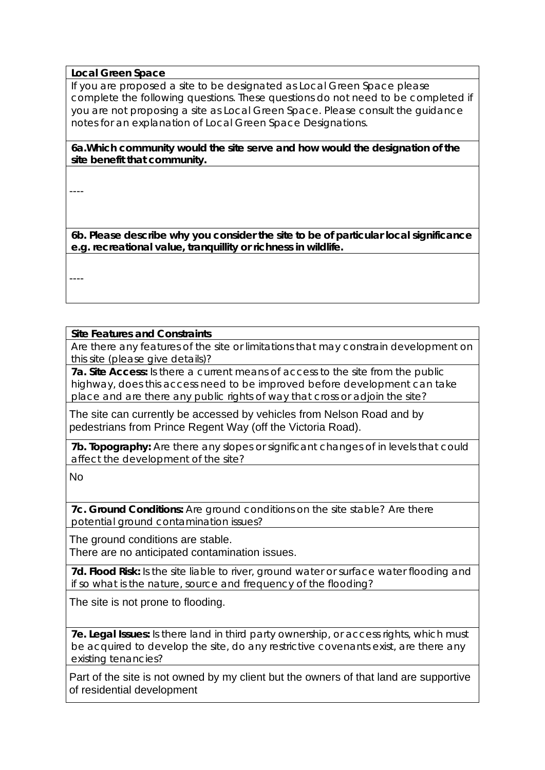#### **Local Green Space**

If you are proposed a site to be designated as Local Green Space please complete the following questions. These questions do not need to be completed if you are not proposing a site as Local Green Space. Please consult the guidance notes for an explanation of Local Green Space Designations.

**6a.Which community would the site serve and how would the designation of the site benefit that community.** 

----

**6b. Please describe why you consider the site to be of particular local significance e.g. recreational value, tranquillity or richness in wildlife.**

----

#### **Site Features and Constraints**

Are there any features of the site or limitations that may constrain development on this site (please give details)?

**7a. Site Access:** Is there a current means of access to the site from the public highway, does this access need to be improved before development can take place and are there any public rights of way that cross or adjoin the site?

The site can currently be accessed by vehicles from Nelson Road and by pedestrians from Prince Regent Way (off the Victoria Road).

**7b. Topography:** Are there any slopes or significant changes of in levels that could affect the development of the site?

No

**7c. Ground Conditions:** Are ground conditions on the site stable? Are there potential ground contamination issues?

The ground conditions are stable. There are no anticipated contamination issues.

**7d. Flood Risk:** Is the site liable to river, ground water or surface water flooding and if so what is the nature, source and frequency of the flooding?

The site is not prone to flooding.

**7e. Legal Issues:** Is there land in third party ownership, or access rights, which must be acquired to develop the site, do any restrictive covenants exist, are there any existing tenancies?

Part of the site is not owned by my client but the owners of that land are supportive of residential development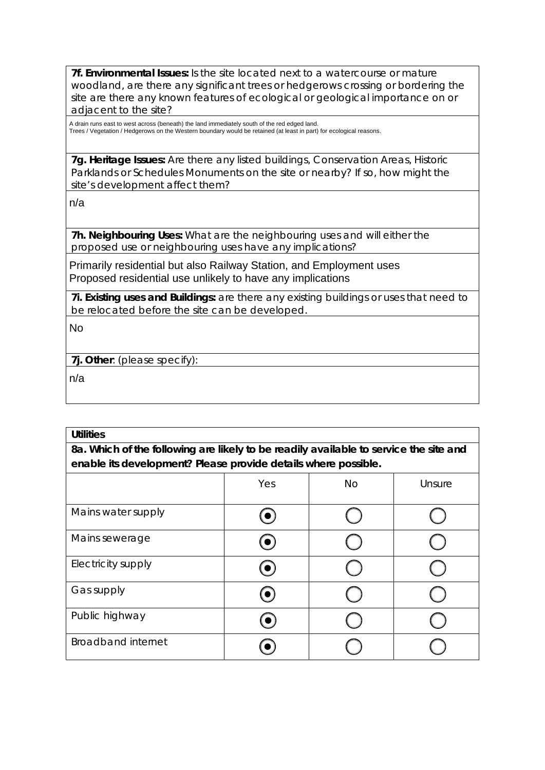**7f. Environmental Issues:** Is the site located next to a watercourse or mature woodland, are there any significant trees or hedgerows crossing or bordering the site are there any known features of ecological or geological importance on or adjacent to the site?

A drain runs east to west across (beneath) the land immediately south of the red edged land. Trees / Vegetation / Hedgerows on the Western boundary would be retained (at least in part) for ecological reasons.

**7g. Heritage Issues:** Are there any listed buildings, Conservation Areas, Historic Parklands or Schedules Monuments on the site or nearby? If so, how might the site's development affect them?

n/a

**7h. Neighbouring Uses:** What are the neighbouring uses and will either the proposed use or neighbouring uses have any implications?

Primarily residential but also Railway Station, and Employment uses Proposed residential use unlikely to have any implications

**7i. Existing uses and Buildings:** are there any existing buildings or uses that need to be relocated before the site can be developed.

No

**7j. Other**: (please specify):

n/a

| <b>Utilities</b>                                                                      |
|---------------------------------------------------------------------------------------|
| 8a. Which of the following are likely to be readily available to service the site and |
| enable its development? Please provide details where possible.                        |

|                           | Yes         | <b>No</b> | Unsure |  |
|---------------------------|-------------|-----------|--------|--|
| Mains water supply        |             |           |        |  |
| Mains sewerage            | $(\bullet)$ |           |        |  |
| Electricity supply        | (●)         |           |        |  |
| Gas supply                | $\bullet$   |           |        |  |
| Public highway            |             |           |        |  |
| <b>Broadband internet</b> |             |           |        |  |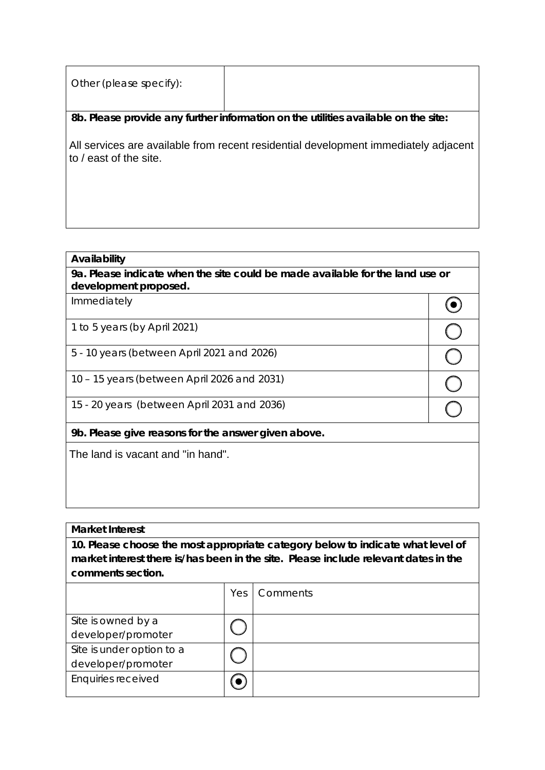| Other (please specify): |                                                                                     |
|-------------------------|-------------------------------------------------------------------------------------|
|                         | 8b. Please provide any further information on the utilities available on the site:  |
| to / east of the site.  | All services are available from recent residential development immediately adjacent |

#### **Availability**

**9a. Please indicate when the site could be made available for the land use or development proposed.**

 $\odot$ 

 $\overline{O}\left|\overline{O}\right|\overline{O}$ 

Immediately

1 to 5 years (by April 2021)

5 - 10 years (between April 2021 and 2026)

10 – 15 years (between April 2026 and 2031)

15 - 20 years (between April 2031 and 2036)

**9b. Please give reasons for the answer given above.**

The land is vacant and "in hand".

#### **Market Interest**

**10. Please choose the most appropriate category below to indicate what level of market interest there is/has been in the site. Please include relevant dates in the comments section.**

|                           | Yes | <b>Comments</b> |
|---------------------------|-----|-----------------|
|                           |     |                 |
| Site is owned by a        |     |                 |
| developer/promoter        |     |                 |
| Site is under option to a |     |                 |
| developer/promoter        |     |                 |
| Enquiries received        |     |                 |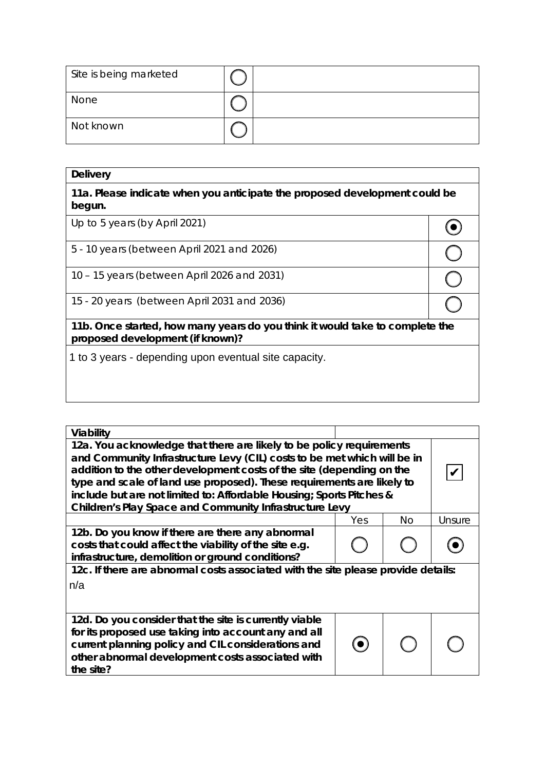| Site is being marketed |  |
|------------------------|--|
| None                   |  |
| Not known              |  |

| <b>Delivery</b>                                                                                                  |  |  |
|------------------------------------------------------------------------------------------------------------------|--|--|
| 11a. Please indicate when you anticipate the proposed development could be<br>begun.                             |  |  |
| Up to 5 years (by April 2021)                                                                                    |  |  |
| 5 - 10 years (between April 2021 and 2026)                                                                       |  |  |
| 10 - 15 years (between April 2026 and 2031)                                                                      |  |  |
| 15 - 20 years (between April 2031 and 2036)                                                                      |  |  |
| 11b. Once started, how many years do you think it would take to complete the<br>proposed development (if known)? |  |  |
| 1 to 3 years - depending upon eventual site capacity.                                                            |  |  |
|                                                                                                                  |  |  |
|                                                                                                                  |  |  |

| Viability                                                                                                                                                                                                                                                                                                                                                                                                                              |     |     |        |  |
|----------------------------------------------------------------------------------------------------------------------------------------------------------------------------------------------------------------------------------------------------------------------------------------------------------------------------------------------------------------------------------------------------------------------------------------|-----|-----|--------|--|
| 12a. You acknowledge that there are likely to be policy requirements<br>and Community Infrastructure Levy (CIL) costs to be met which will be in<br>addition to the other development costs of the site (depending on the<br>type and scale of land use proposed). These requirements are likely to<br>include but are not limited to: Affordable Housing; Sports Pitches &<br>Children's Play Space and Community Infrastructure Levy |     |     |        |  |
|                                                                                                                                                                                                                                                                                                                                                                                                                                        | Yes | No. | Unsure |  |
| 12b. Do you know if there are there any abnormal<br>costs that could affect the viability of the site e.g.<br>infrastructure, demolition or ground conditions?                                                                                                                                                                                                                                                                         |     |     |        |  |
| 12c. If there are abnormal costs associated with the site please provide details:<br>n/a                                                                                                                                                                                                                                                                                                                                               |     |     |        |  |
| 12d. Do you consider that the site is currently viable<br>for its proposed use taking into account any and all<br>current planning policy and CIL considerations and<br>other abnormal development costs associated with<br>the site?                                                                                                                                                                                                  |     |     |        |  |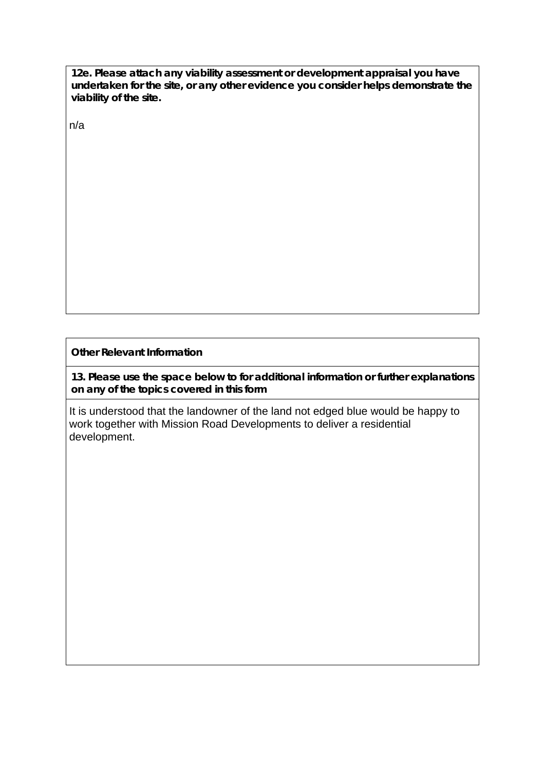**12e. Please attach any viability assessment or development appraisal you have undertaken for the site, or any other evidence you consider helps demonstrate the viability of the site.** 

n/a

**Other Relevant Information**

**13. Please use the space below to for additional information or further explanations on any of the topics covered in this form**

It is understood that the landowner of the land not edged blue would be happy to work together with Mission Road Developments to deliver a residential development.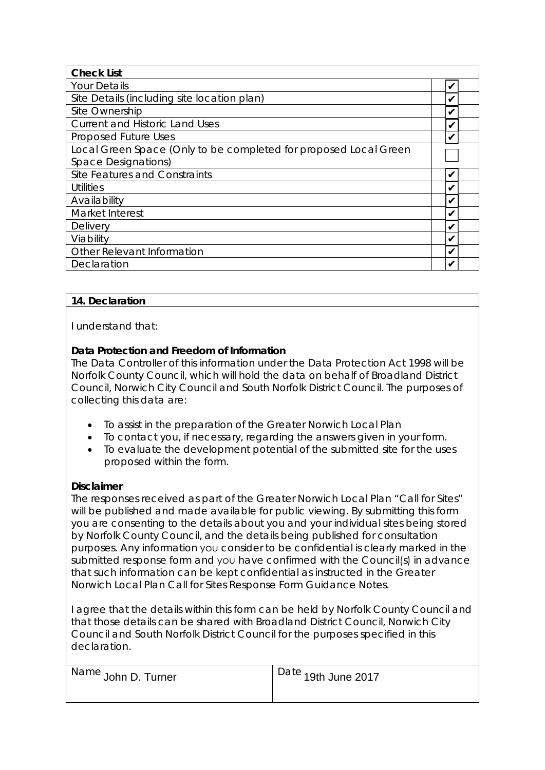| <b>Check List</b>                                                |   |  |
|------------------------------------------------------------------|---|--|
| <b>Your Details</b>                                              | V |  |
| Site Details (including site location plan)                      |   |  |
| Site Ownership                                                   |   |  |
| <b>Current and Historic Land Uses</b>                            |   |  |
| <b>Proposed Future Uses</b>                                      | V |  |
| Local Green Space (Only to be completed for proposed Local Green |   |  |
| <b>Space Designations)</b>                                       |   |  |
| Site Features and Constraints                                    | V |  |
| Utilities                                                        | ✔ |  |
| Availability                                                     |   |  |
| Market Interest                                                  |   |  |
| <b>Delivery</b>                                                  |   |  |
| Viability                                                        |   |  |
| <b>Other Relevant Information</b>                                |   |  |
| Declaration                                                      |   |  |

### **14. Declaration**

I understand that:

# **Data Protection and Freedom of Information**

The Data Controller of this information under the Data Protection Act 1998 will be Norfolk County Council, which will hold the data on behalf of Broadland District Council, Norwich City Council and South Norfolk District Council. The purposes of collecting this data are:

- To assist in the preparation of the Greater Norwich Local Plan
- To contact you, if necessary, regarding the answers given in your form.
- To evaluate the development potential of the submitted site for the uses proposed within the form.

# **Disclaimer**

The responses received as part of the Greater Norwich Local Plan "Call for Sites" will be published and made available for public viewing. By submitting this form you are consenting to the details about you and your individual sites being stored by Norfolk County Council, and the details being published for consultation purposes. Any information you consider to be confidential is clearly marked in the submitted response form and you have confirmed with the Council(s) in advance that such information can be kept confidential as instructed in the Greater Norwich Local Plan Call for Sites Response Form Guidance Notes.

I agree that the details within this form can be held by Norfolk County Council and that those details can be shared with Broadland District Council, Norwich City Council and South Norfolk District Council for the purposes specified in this declaration.

| Name John D. Turner | $\vert$ <sup>Date</sup> 19th June 2017 |
|---------------------|----------------------------------------|
|                     |                                        |